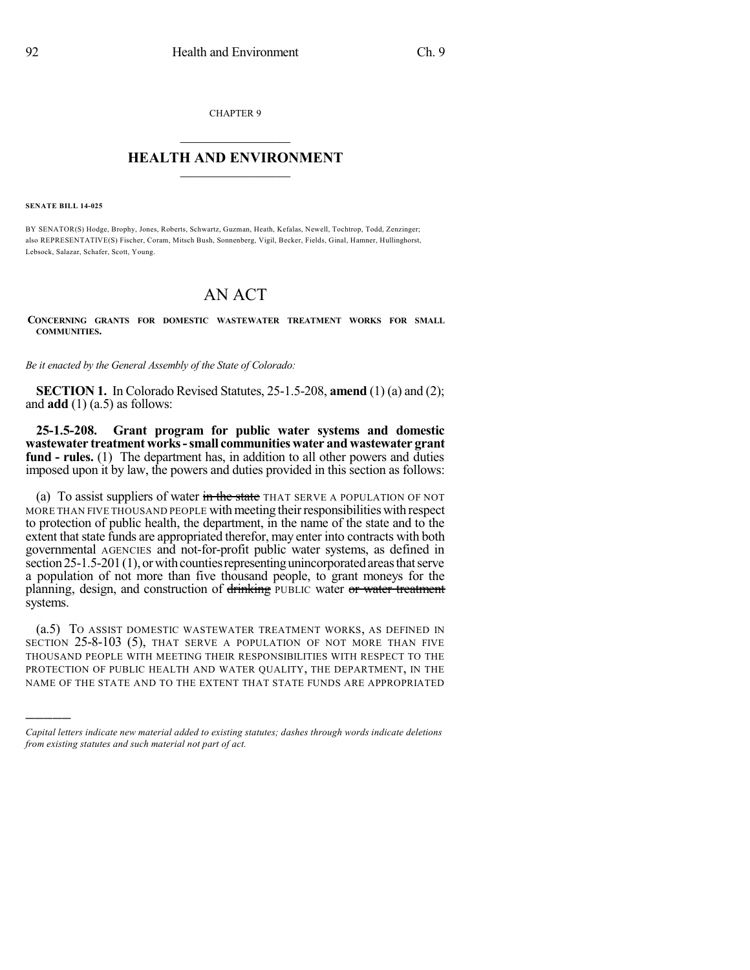CHAPTER 9

## $\mathcal{L}_\text{max}$  . The set of the set of the set of the set of the set of the set of the set of the set of the set of the set of the set of the set of the set of the set of the set of the set of the set of the set of the set **HEALTH AND ENVIRONMENT**  $\_$

**SENATE BILL 14-025**

)))))

BY SENATOR(S) Hodge, Brophy, Jones, Roberts, Schwartz, Guzman, Heath, Kefalas, Newell, Tochtrop, Todd, Zenzinger; also REPRESENTATIVE(S) Fischer, Coram, Mitsch Bush, Sonnenberg, Vigil, Becker, Fields, Ginal, Hamner, Hullinghorst, Lebsock, Salazar, Schafer, Scott, Young.

## AN ACT

**CONCERNING GRANTS FOR DOMESTIC WASTEWATER TREATMENT WORKS FOR SMALL COMMUNITIES.**

*Be it enacted by the General Assembly of the State of Colorado:*

**SECTION 1.** In Colorado Revised Statutes, 25-1.5-208, **amend** (1) (a) and (2); and **add** (1) (a.5) as follows:

**25-1.5-208. Grant program for public water systems and domestic wastewater treatment works-small communities water and wastewater grant fund - rules.** (1) The department has, in addition to all other powers and duties imposed upon it by law, the powers and duties provided in this section as follows:

(a) To assist suppliers of water  $\frac{1}{m}$  the state THAT SERVE A POPULATION OF NOT MORE THAN FIVE THOUSAND PEOPLE with meeting their responsibilities with respect to protection of public health, the department, in the name of the state and to the extent that state funds are appropriated therefor, may enter into contracts with both governmental AGENCIES and not-for-profit public water systems, as defined in section  $25-1.5-201(1)$ , or with counties representing unincorporated areas that serve a population of not more than five thousand people, to grant moneys for the planning, design, and construction of drinking PUBLIC water or water treatment systems.

(a.5) TO ASSIST DOMESTIC WASTEWATER TREATMENT WORKS, AS DEFINED IN SECTION 25-8-103 (5), THAT SERVE A POPULATION OF NOT MORE THAN FIVE THOUSAND PEOPLE WITH MEETING THEIR RESPONSIBILITIES WITH RESPECT TO THE PROTECTION OF PUBLIC HEALTH AND WATER QUALITY, THE DEPARTMENT, IN THE NAME OF THE STATE AND TO THE EXTENT THAT STATE FUNDS ARE APPROPRIATED

*Capital letters indicate new material added to existing statutes; dashes through words indicate deletions from existing statutes and such material not part of act.*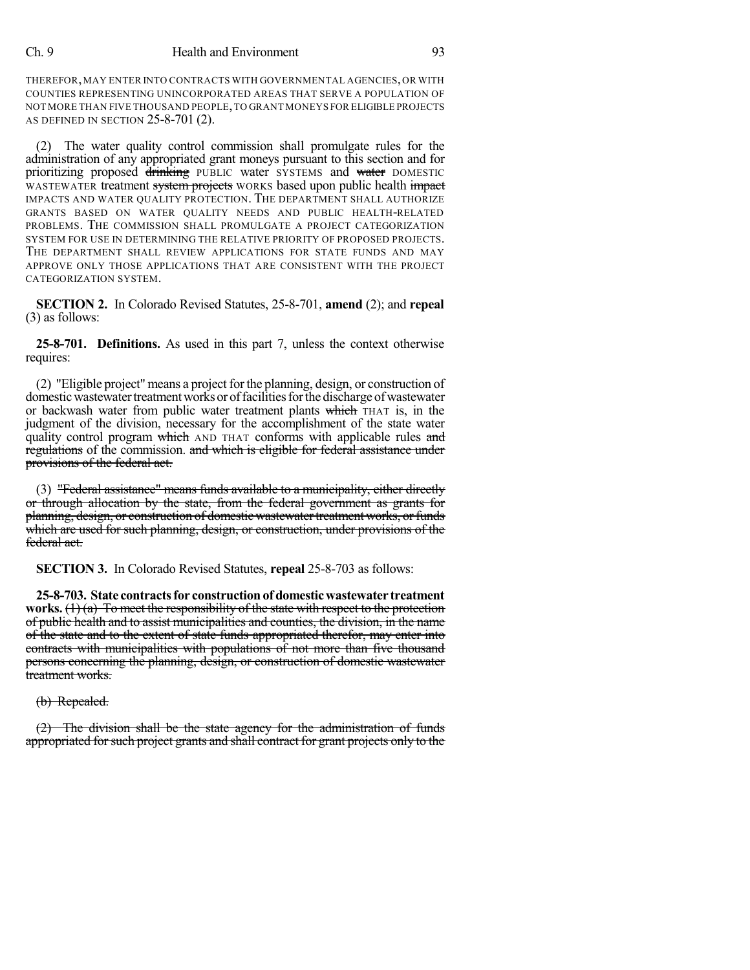## Ch. 9 Health and Environment 93

THEREFOR,MAY ENTER INTO CONTRACTS WITH GOVERNMENTAL AGENCIES,OR WITH COUNTIES REPRESENTING UNINCORPORATED AREAS THAT SERVE A POPULATION OF NOT MORE THAN FIVE THOUSAND PEOPLE,TO GRANT MONEYS FOR ELIGIBLE PROJECTS AS DEFINED IN SECTION 25-8-701 (2).

(2) The water quality control commission shall promulgate rules for the administration of any appropriated grant moneys pursuant to this section and for prioritizing proposed drinking PUBLIC water SYSTEMS and water DOMESTIC WASTEWATER treatment system projects WORKS based upon public health impact IMPACTS AND WATER QUALITY PROTECTION. THE DEPARTMENT SHALL AUTHORIZE GRANTS BASED ON WATER QUALITY NEEDS AND PUBLIC HEALTH-RELATED PROBLEMS. THE COMMISSION SHALL PROMULGATE A PROJECT CATEGORIZATION SYSTEM FOR USE IN DETERMINING THE RELATIVE PRIORITY OF PROPOSED PROJECTS. THE DEPARTMENT SHALL REVIEW APPLICATIONS FOR STATE FUNDS AND MAY APPROVE ONLY THOSE APPLICATIONS THAT ARE CONSISTENT WITH THE PROJECT CATEGORIZATION SYSTEM.

**SECTION 2.** In Colorado Revised Statutes, 25-8-701, **amend** (2); and **repeal** (3) as follows:

**25-8-701. Definitions.** As used in this part 7, unless the context otherwise requires:

(2) "Eligible project" means a project forthe planning, design, or construction of domestic wastewater treatment works or of facilities for the discharge of wastewater or backwash water from public water treatment plants which THAT is, in the judgment of the division, necessary for the accomplishment of the state water quality control program which AND THAT conforms with applicable rules and regulations of the commission. and which is eligible for federal assistance under provisions of the federal act.

(3) "Federal assistance" means funds available to a municipality, either directly or through allocation by the state, from the federal government as grants for planning, design, or construction of domestic wastewater treatment works, or funds which are used for such planning, design, or construction, under provisions of the federal act.

**SECTION 3.** In Colorado Revised Statutes, **repeal** 25-8-703 as follows:

**25-8-703. State contractsfor constructionof domesticwastewater treatment works.** (1) (a) To meet the responsibility of the state with respect to the protection of public health and to assist municipalities and counties, the division, in the name of the state and to the extent of state funds appropriated therefor, may enter into contracts with municipalities with populations of not more than five thousand persons concerning the planning, design, or construction of domestic wastewater treatment works.

(b) Repealed.

(2) The division shall be the state agency for the administration of funds appropriated for such project grants and shall contract for grant projects only to the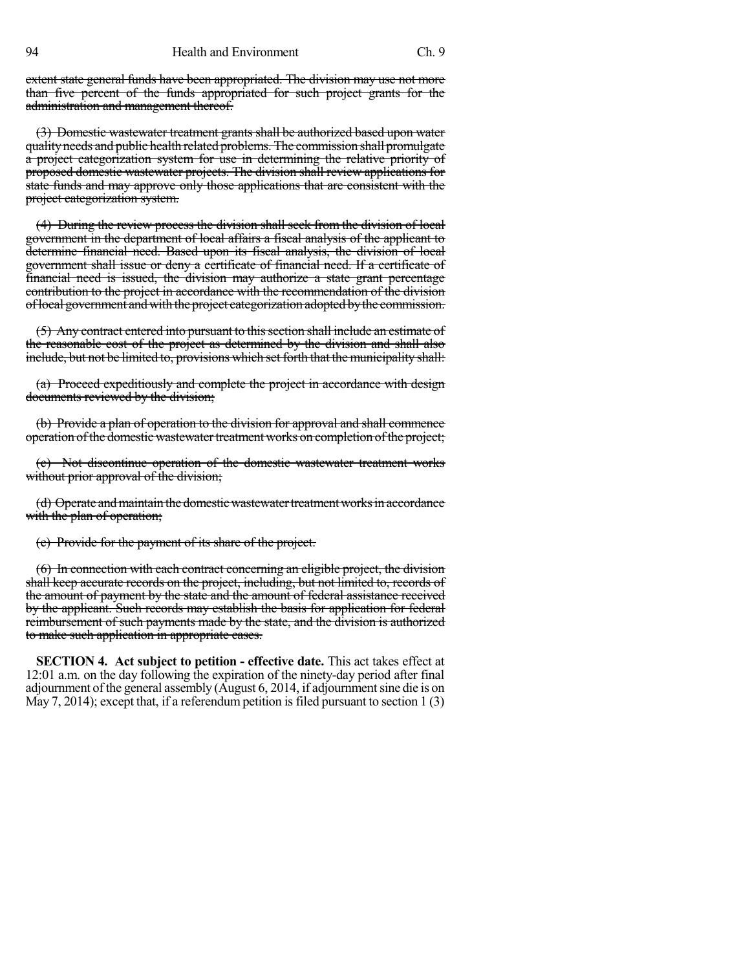94 Health and Environment Ch. 9

extent state general funds have been appropriated. The division may use not more than five percent of the funds appropriated for such project grants for the administration and management thereof.

(3) Domestic wastewater treatment grants shall be authorized based upon water qualityneeds and public health related problems. The commission shall promulgate a project categorization system for use in determining the relative priority of proposed domestic wastewater projects. The division shall review applications for state funds and may approve only those applications that are consistent with the project categorization system.

(4) During the review process the division shall seek from the division of local government in the department of local affairs a fiscal analysis of the applicant to determine financial need. Based upon its fiscal analysis, the division of local government shall issue or deny a certificate of financial need. If a certificate of financial need is issued, the division may authorize a state grant percentage contribution to the project in accordance with the recommendation of the division oflocal government andwith the project categorization adopted bythe commission.

(5) Any contract entered into pursuant to this section shall include an estimate of the reasonable cost of the project as determined by the division and shall also include, but not be limited to, provisions which set forth that the municipality shall:

(a) Proceed expeditiously and complete the project in accordance with design documents reviewed by the division;

(b) Provide a plan of operation to the division for approval and shall commence operation of the domestic wastewater treatment works on completion of the project;

(c) Not discontinue operation of the domestic wastewater treatment works without prior approval of the division;

(d) Operate and maintain the domestic wastewater treatment works in accordance with the plan of operation;

(e) Provide for the payment of its share of the project.

(6) In connection with each contract concerning an eligible project, the division shall keep accurate records on the project, including, but not limited to, records of the amount of payment by the state and the amount of federal assistance received by the applicant. Such records may establish the basis for application for federal reimbursement of such payments made by the state, and the division is authorized to make such application in appropriate cases.

**SECTION 4. Act subject to petition - effective date.** This act takes effect at 12:01 a.m. on the day following the expiration of the ninety-day period after final adjournment of the general assembly (August 6, 2014, if adjournmentsine die is on May 7, 2014); except that, if a referendum petition is filed pursuant to section  $1(3)$